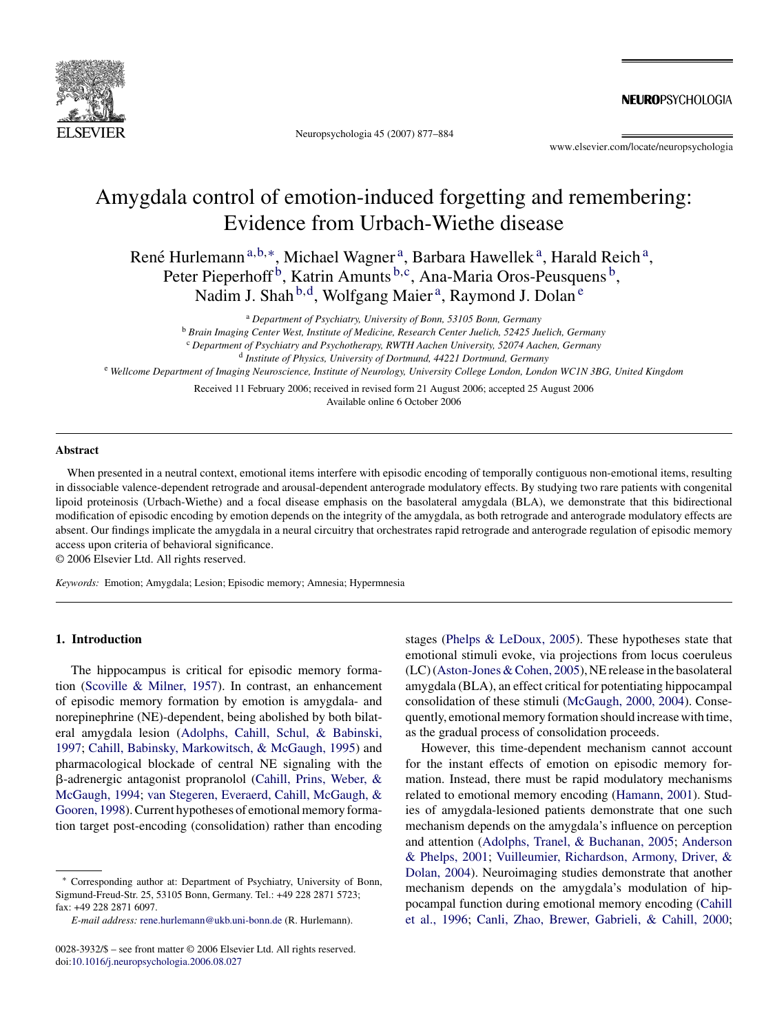

Neuropsychologia 45 (2007) 877–884

NEUROPSYCHOLOGIA

www.elsevier.com/locate/neuropsychologia

# Amygdala control of emotion-induced forgetting and remembering: Evidence from Urbach-Wiethe disease

René Hurlemann<sup>a,b,∗</sup>, Michael Wagner<sup>a</sup>, Barbara Hawellek<sup>a</sup>, Harald Reich<sup>a</sup>, Peter Pieperhoff<sup>b</sup>, Katrin Amunts b,c, Ana-Maria Oros-Peusquens b, Nadim J. Shah <sup>b,d</sup>, Wolfgang Maier<sup>a</sup>, Raymond J. Dolan<sup>e</sup>

<sup>a</sup> *Department of Psychiatry, University of Bonn, 53105 Bonn, Germany*

<sup>b</sup> *Brain Imaging Center West, Institute of Medicine, Research Center Juelich, 52425 Juelich, Germany*

<sup>c</sup> *Department of Psychiatry and Psychotherapy, RWTH Aachen University, 52074 Aachen, Germany*

<sup>d</sup> *Institute of Physics, University of Dortmund, 44221 Dortmund, Germany*

<sup>e</sup> *Wellcome Department of Imaging Neuroscience, Institute of Neurology, University College London, London WC1N 3BG, United Kingdom*

Received 11 February 2006; received in revised form 21 August 2006; accepted 25 August 2006 Available online 6 October 2006

## **Abstract**

When presented in a neutral context, emotional items interfere with episodic encoding of temporally contiguous non-emotional items, resulting in dissociable valence-dependent retrograde and arousal-dependent anterograde modulatory effects. By studying two rare patients with congenital lipoid proteinosis (Urbach-Wiethe) and a focal disease emphasis on the basolateral amygdala (BLA), we demonstrate that this bidirectional modification of episodic encoding by emotion depends on the integrity of the amygdala, as both retrograde and anterograde modulatory effects are absent. Our findings implicate the amygdala in a neural circuitry that orchestrates rapid retrograde and anterograde regulation of episodic memory access upon criteria of behavioral significance.

© 2006 Elsevier Ltd. All rights reserved.

*Keywords:* Emotion; Amygdala; Lesion; Episodic memory; Amnesia; Hypermnesia

# **1. Introduction**

The hippocampus is critical for episodic memory formation ([Scoville & Milner, 1957\).](#page-7-0) In contrast, an enhancement of episodic memory formation by emotion is amygdala- and norepinephrine (NE)-dependent, being abolished by both bilateral amygdala lesion ([Adolphs, Cahill, Schul, & Babinski,](#page-6-0) [1997;](#page-6-0) [Cahill, Babinsky, Markowitsch, & McGaugh, 1995\)](#page-6-0) and pharmacological blockade of central NE signaling with the --adrenergic antagonist propranolol [\(Cahill, Prins, Weber, &](#page-6-0) [McGaugh, 1994;](#page-6-0) [van Stegeren, Everaerd, Cahill, McGaugh, &](#page-7-0) [Gooren, 1998\).](#page-7-0) Current hypotheses of emotional memory formation target post-encoding (consolidation) rather than encoding

stages ([Phelps & LeDoux, 2005\).](#page-6-0) These hypotheses state that emotional stimuli evoke, via projections from locus coeruleus (LC) ([Aston-Jones & Cohen, 2005\),](#page-6-0) NE release in the basolateral amygdala (BLA), an effect critical for potentiating hippocampal consolidation of these stimuli ([McGaugh, 2000, 2004\).](#page-6-0) Consequently, emotional memory formation should increase with time, as the gradual process of consolidation proceeds.

However, this time-dependent mechanism cannot account for the instant effects of emotion on episodic memory formation. Instead, there must be rapid modulatory mechanisms related to emotional memory encoding [\(Hamann, 2001\).](#page-6-0) Studies of amygdala-lesioned patients demonstrate that one such mechanism depends on the amygdala's influence on perception and attention ([Adolphs, Tranel, & Buchanan, 2005;](#page-6-0) [Anderson](#page-6-0) [& Phelps, 2001;](#page-6-0) [Vuilleumier, Richardson, Armony, Driver, &](#page-7-0) [Dolan, 2004\).](#page-7-0) Neuroimaging studies demonstrate that another mechanism depends on the amygdala's modulation of hippocampal function during emotional memory encoding [\(Cahill](#page-6-0) [et al., 1996;](#page-6-0) [Canli, Zhao, Brewer, Gabrieli, & Cahill, 2000;](#page-6-0)

Corresponding author at: Department of Psychiatry, University of Bonn, Sigmund-Freud-Str. 25, 53105 Bonn, Germany. Tel.: +49 228 2871 5723; fax: +49 228 2871 6097.

*E-mail address:* [rene.hurlemann@ukb.uni-bonn.de](mailto:rene.hurlemann@ukb.uni-bonn.de) (R. Hurlemann).

<sup>0028-3932/\$ –</sup> see front matter © 2006 Elsevier Ltd. All rights reserved. doi[:10.1016/j.neuropsychologia.2006.08.027](dx.doi.org/10.1016/j.neuropsychologia.2006.08.027)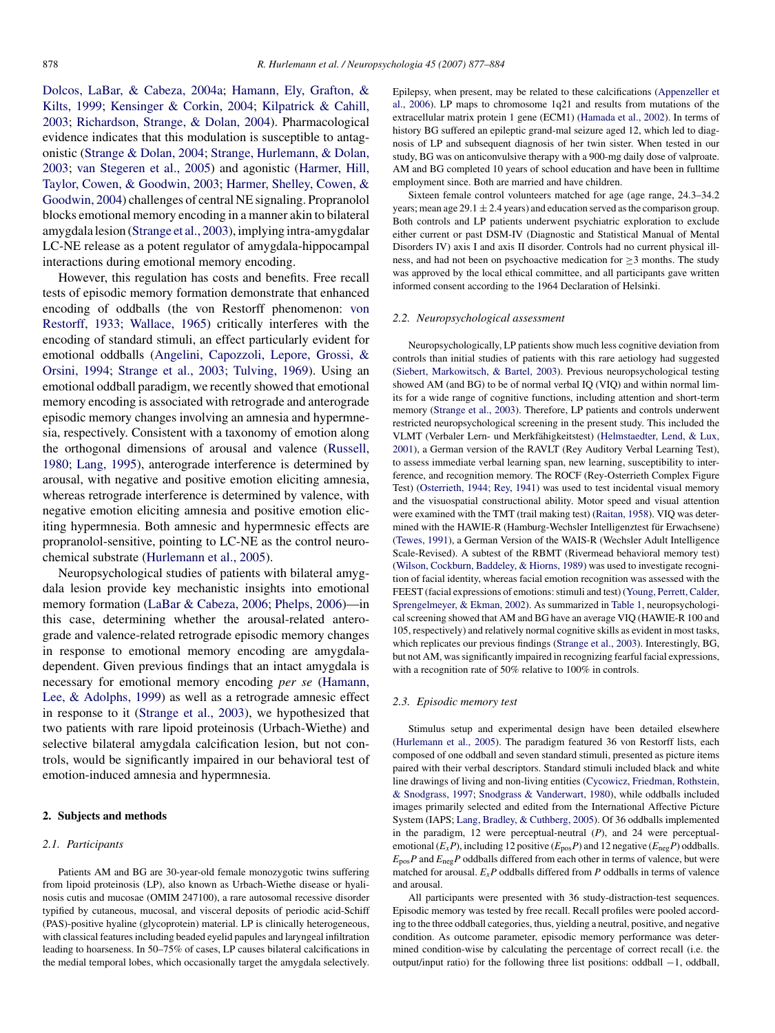[Dolcos, LaBar, & Cabeza, 2004a;](#page-6-0) [Hamann, Ely, Grafton, &](#page-6-0) [Kilts, 1999;](#page-6-0) [Kensinger & Corkin, 2004;](#page-6-0) [Kilpatrick & Cahill,](#page-6-0) [2003;](#page-6-0) [Richardson, Strange, & Dolan, 2004\).](#page-6-0) Pharmacological evidence indicates that this modulation is susceptible to antagonistic [\(Strange & Dolan, 2004;](#page-7-0) [Strange, Hurlemann, & Dolan,](#page-7-0) [2003;](#page-7-0) [van Stegeren et al., 2005\)](#page-7-0) and agonistic ([Harmer, Hill,](#page-6-0) [Taylor, Cowen, & Goodwin, 2003;](#page-6-0) [Harmer, Shelley, Cowen, &](#page-6-0) [Goodwin, 2004\) c](#page-6-0)hallenges of central NE signaling. Propranolol blocks emotional memory encoding in a manner akin to bilateral amygdala lesion ([Strange et al., 2003\),](#page-7-0) implying intra-amygdalar LC-NE release as a potent regulator of amygdala-hippocampal interactions during emotional memory encoding.

However, this regulation has costs and benefits. Free recall tests of episodic memory formation demonstrate that enhanced encoding of oddballs (the von Restorff phenomenon: [von](#page-7-0) [Restorff, 1933; Wallace, 1965\)](#page-7-0) critically interferes with the encoding of standard stimuli, an effect particularly evident for emotional oddballs ([Angelini, Capozzoli, Lepore, Grossi, &](#page-6-0) [Orsini, 1994;](#page-6-0) [Strange et al., 2003; Tulving, 1969\).](#page-7-0) Using an emotional oddball paradigm, we recently showed that emotional memory encoding is associated with retrograde and anterograde episodic memory changes involving an amnesia and hypermnesia, respectively. Consistent with a taxonomy of emotion along the orthogonal dimensions of arousal and valence [\(Russell,](#page-6-0) [1980; Lang, 1995\),](#page-6-0) anterograde interference is determined by arousal, with negative and positive emotion eliciting amnesia, whereas retrograde interference is determined by valence, with negative emotion eliciting amnesia and positive emotion eliciting hypermnesia. Both amnesic and hypermnesic effects are propranolol-sensitive, pointing to LC-NE as the control neurochemical substrate [\(Hurlemann et al., 2005\).](#page-6-0)

Neuropsychological studies of patients with bilateral amygdala lesion provide key mechanistic insights into emotional memory formation ([LaBar & Cabeza, 2006;](#page-6-0) [Phelps, 2006\)—](#page-6-0)in this case, determining whether the arousal-related anterograde and valence-related retrograde episodic memory changes in response to emotional memory encoding are amygdaladependent. Given previous findings that an intact amygdala is necessary for emotional memory encoding *per se* ([Hamann,](#page-6-0) [Lee, & Adolphs, 1999\)](#page-6-0) as well as a retrograde amnesic effect in response to it ([Strange et al., 2003\),](#page-7-0) we hypothesized that two patients with rare lipoid proteinosis (Urbach-Wiethe) and selective bilateral amygdala calcification lesion, but not controls, would be significantly impaired in our behavioral test of emotion-induced amnesia and hypermnesia.

## **2. Subjects and methods**

## *2.1. Participants*

Patients AM and BG are 30-year-old female monozygotic twins suffering from lipoid proteinosis (LP), also known as Urbach-Wiethe disease or hyalinosis cutis and mucosae (OMIM 247100), a rare autosomal recessive disorder typified by cutaneous, mucosal, and visceral deposits of periodic acid-Schiff (PAS)-positive hyaline (glycoprotein) material. LP is clinically heterogeneous, with classical features including beaded eyelid papules and laryngeal infiltration leading to hoarseness. In 50–75% of cases, LP causes bilateral calcifications in the medial temporal lobes, which occasionally target the amygdala selectively.

Epilepsy, when present, may be related to these calcifications ([Appenzeller et](#page-6-0) [al., 2006\).](#page-6-0) LP maps to chromosome 1q21 and results from mutations of the extracellular matrix protein 1 gene (ECM1) [\(Hamada et al., 2002\).](#page-6-0) In terms of history BG suffered an epileptic grand-mal seizure aged 12, which led to diagnosis of LP and subsequent diagnosis of her twin sister. When tested in our study, BG was on anticonvulsive therapy with a 900-mg daily dose of valproate. AM and BG completed 10 years of school education and have been in fulltime employment since. Both are married and have children.

Sixteen female control volunteers matched for age (age range, 24.3–34.2 years; mean age  $29.1 \pm 2.4$  years) and education served as the comparison group. Both controls and LP patients underwent psychiatric exploration to exclude either current or past DSM-IV (Diagnostic and Statistical Manual of Mental Disorders IV) axis I and axis II disorder. Controls had no current physical illness, and had not been on psychoactive medication for  $\geq$ 3 months. The study was approved by the local ethical committee, and all participants gave written informed consent according to the 1964 Declaration of Helsinki.

#### *2.2. Neuropsychological assessment*

Neuropsychologically, LP patients show much less cognitive deviation from controls than initial studies of patients with this rare aetiology had suggested [\(Siebert, Markowitsch, & Bartel, 2003\).](#page-7-0) Previous neuropsychological testing showed AM (and BG) to be of normal verbal IQ (VIQ) and within normal limits for a wide range of cognitive functions, including attention and short-term memory [\(Strange et al., 2003\).](#page-7-0) Therefore, LP patients and controls underwent restricted neuropsychological screening in the present study. This included the VLMT (Verbaler Lern- und Merkfähigkeitstest) ([Helmstaedter, Lend, & Lux,](#page-6-0) [2001\),](#page-6-0) a German version of the RAVLT (Rey Auditory Verbal Learning Test), to assess immediate verbal learning span, new learning, susceptibility to interference, and recognition memory. The ROCF (Rey-Osterrieth Complex Figure Test) ([Osterrieth, 1944; Rey, 1941\)](#page-6-0) was used to test incidental visual memory and the visuospatial constructional ability. Motor speed and visual attention were examined with the TMT (trail making test) ([Raitan, 1958\).](#page-6-0) VIQ was determined with the HAWIE-R (Hamburg-Wechsler Intelligenztest für Erwachsene) [\(Tewes, 1991\),](#page-7-0) a German Version of the WAIS-R (Wechsler Adult Intelligence Scale-Revised). A subtest of the RBMT (Rivermead behavioral memory test) [\(Wilson, Cockburn, Baddeley, & Hiorns, 1989\) w](#page-7-0)as used to investigate recognition of facial identity, whereas facial emotion recognition was assessed with the FEEST (facial expressions of emotions: stimuli and test) [\(Young, Perrett, Calder,](#page-7-0) [Sprengelmeyer, & Ekman, 2002\).](#page-7-0) As summarized in [Table 1, n](#page-2-0)europsychological screening showed that AM and BG have an average VIQ (HAWIE-R 100 and 105, respectively) and relatively normal cognitive skills as evident in most tasks, which replicates our previous findings ([Strange et al., 2003\).](#page-7-0) Interestingly, BG, but not AM, was significantly impaired in recognizing fearful facial expressions, with a recognition rate of 50% relative to 100% in controls.

#### *2.3. Episodic memory test*

Stimulus setup and experimental design have been detailed elsewhere [\(Hurlemann et al., 2005\).](#page-6-0) The paradigm featured 36 von Restorff lists, each composed of one oddball and seven standard stimuli, presented as picture items paired with their verbal descriptors. Standard stimuli included black and white line drawings of living and non-living entities ([Cycowicz, Friedman, Rothstein,](#page-6-0) [& Snodgrass, 1997;](#page-6-0) [Snodgrass & Vanderwart, 1980\),](#page-7-0) while oddballs included images primarily selected and edited from the International Affective Picture System (IAPS; [Lang, Bradley, & Cuthberg, 2005\).](#page-6-0) Of 36 oddballs implemented in the paradigm, 12 were perceptual-neutral (*P*), and 24 were perceptualemotional  $(E_xP)$ , including 12 positive  $(E_{\text{pos}}P)$  and 12 negative  $(E_{\text{neg}}P)$  oddballs.  $E_{\text{pos}}P$  and  $E_{\text{neg}}P$  oddballs differed from each other in terms of valence, but were matched for arousal.  $E_xP$  oddballs differed from  $P$  oddballs in terms of valence and arousal.

All participants were presented with 36 study-distraction-test sequences. Episodic memory was tested by free recall. Recall profiles were pooled according to the three oddball categories, thus, yielding a neutral, positive, and negative condition. As outcome parameter, episodic memory performance was determined condition-wise by calculating the percentage of correct recall (i.e. the output/input ratio) for the following three list positions: oddball −1, oddball,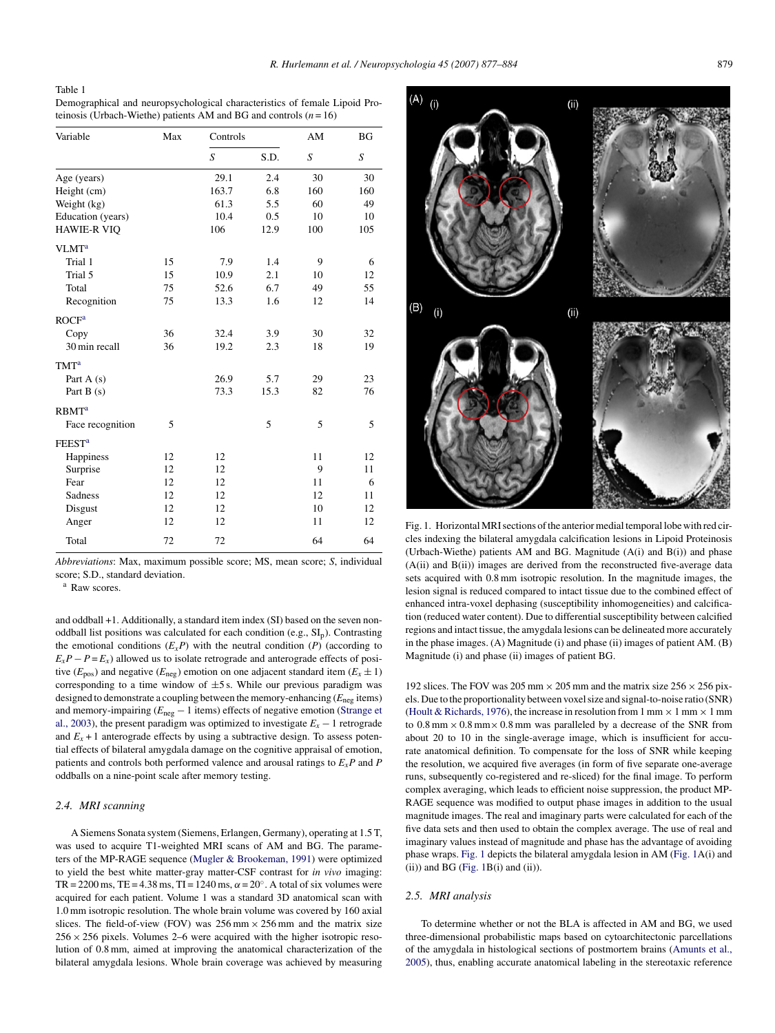## <span id="page-2-0"></span>Table 1

Demographical and neuropsychological characteristics of female Lipoid Proteinosis (Urbach-Wiethe) patients AM and BG and controls (*n* = 16)

| Variable                 | Max | Controls |      | AM  | <b>BG</b> |
|--------------------------|-----|----------|------|-----|-----------|
|                          |     | S        | S.D. | S   | S         |
| Age (years)              |     | 29.1     | 2.4  | 30  | 30        |
| Height (cm)              |     | 163.7    | 6.8  | 160 | 160       |
| Weight (kg)              |     | 61.3     | 5.5  | 60  | 49        |
| Education (years)        |     | 10.4     | 0.5  | 10  | 10        |
| <b>HAWIE-R VIQ</b>       |     | 106      | 12.9 | 100 | 105       |
| VLMT <sup>a</sup>        |     |          |      |     |           |
| Trial 1                  | 15  | 7.9      | 1.4  | 9   | 6         |
| Trial 5                  | 15  | 10.9     | 2.1  | 10  | 12        |
| Total                    | 75  | 52.6     | 6.7  | 49  | 55        |
| Recognition              | 75  | 13.3     | 1.6  | 12  | 14        |
| <b>ROCF</b> <sup>a</sup> |     |          |      |     |           |
| Copy                     | 36  | 32.4     | 3.9  | 30  | 32        |
| 30 min recall            | 36  | 19.2     | 2.3  | 18  | 19        |
| <b>TMT</b> <sup>a</sup>  |     |          |      |     |           |
| Part $A(s)$              |     | 26.9     | 5.7  | 29  | 23        |
| Part $B(s)$              |     | 73.3     | 15.3 | 82  | 76        |
| <b>RBMT<sup>a</sup></b>  |     |          |      |     |           |
| Face recognition         | 5   |          | 5    | 5   | 5         |
| <b>FEEST<sup>a</sup></b> |     |          |      |     |           |
| Happiness                | 12  | 12       |      | 11  | 12        |
| Surprise                 | 12  | 12       |      | 9   | 11        |
| Fear                     | 12  | 12       |      | 11  | 6         |
| Sadness                  | 12  | 12       |      | 12  | 11        |
| Disgust                  | 12  | 12       |      | 10  | 12        |
| Anger                    | 12  | 12       |      | 11  | 12        |
| Total                    | 72  | 72       |      | 64  | 64        |

*Abbreviations*: Max, maximum possible score; MS, mean score; *S*, individual score; S.D., standard deviation.

<sup>a</sup> Raw scores.

and oddball +1. Additionally, a standard item index (SI) based on the seven nonoddball list positions was calculated for each condition (e.g.,  $SL<sub>p</sub>$ ). Contrasting the emotional conditions  $(E_x P)$  with the neutral condition  $(P)$  (according to  $E_xP - P = E_x$ ) allowed us to isolate retrograde and anterograde effects of positive ( $E_{pos}$ ) and negative ( $E_{neg}$ ) emotion on one adjacent standard item ( $E_x \pm 1$ ) corresponding to a time window of  $\pm 5$  s. While our previous paradigm was designed to demonstrate a coupling between the memory-enhancing (*E*neg items) and memory-impairing (*E*neg − 1 items) effects of negative emotion ([Strange et](#page-7-0) [al., 2003\),](#page-7-0) the present paradigm was optimized to investigate  $E_x - 1$  retrograde and  $E_x + 1$  anterograde effects by using a subtractive design. To assess potential effects of bilateral amygdala damage on the cognitive appraisal of emotion, patients and controls both performed valence and arousal ratings to *ExP* and *P* oddballs on a nine-point scale after memory testing.

## *2.4. MRI scanning*

A Siemens Sonata system (Siemens, Erlangen, Germany), operating at 1.5 T, was used to acquire T1-weighted MRI scans of AM and BG. The parameters of the MP-RAGE sequence [\(Mugler & Brookeman, 1991\)](#page-6-0) were optimized to yield the best white matter-gray matter-CSF contrast for *in vivo* imaging: TR = 2200 ms, TE = 4.38 ms, TI = 1240 ms,  $\alpha$  = 20°. A total of six volumes were acquired for each patient. Volume 1 was a standard 3D anatomical scan with 1.0 mm isotropic resolution. The whole brain volume was covered by 160 axial slices. The field-of-view (FOV) was  $256 \text{ mm} \times 256 \text{ mm}$  and the matrix size  $256 \times 256$  pixels. Volumes 2–6 were acquired with the higher isotropic resolution of 0.8 mm, aimed at improving the anatomical characterization of the bilateral amygdala lesions. Whole brain coverage was achieved by measuring



Fig. 1. Horizontal MRI sections of the anterior medial temporal lobe with red circles indexing the bilateral amygdala calcification lesions in Lipoid Proteinosis (Urbach-Wiethe) patients AM and BG. Magnitude (A(i) and B(i)) and phase (A(ii) and B(ii)) images are derived from the reconstructed five-average data sets acquired with 0.8 mm isotropic resolution. In the magnitude images, the lesion signal is reduced compared to intact tissue due to the combined effect of enhanced intra-voxel dephasing (susceptibility inhomogeneities) and calcification (reduced water content). Due to differential susceptibility between calcified regions and intact tissue, the amygdala lesions can be delineated more accurately in the phase images. (A) Magnitude (i) and phase (ii) images of patient AM. (B) Magnitude (i) and phase (ii) images of patient BG.

192 slices. The FOV was 205 mm  $\times$  205 mm and the matrix size 256  $\times$  256 pixels. Due to the proportionality between voxel size and signal-to-noise ratio (SNR) [\(Hoult & Richards, 1976\),](#page-6-0) the increase in resolution from 1 mm  $\times$  1 mm  $\times$  1 mm to  $0.8$  mm  $\times$   $0.8$  mm  $\times$   $0.8$  mm was paralleled by a decrease of the SNR from about 20 to 10 in the single-average image, which is insufficient for accurate anatomical definition. To compensate for the loss of SNR while keeping the resolution, we acquired five averages (in form of five separate one-average runs, subsequently co-registered and re-sliced) for the final image. To perform complex averaging, which leads to efficient noise suppression, the product MP-RAGE sequence was modified to output phase images in addition to the usual magnitude images. The real and imaginary parts were calculated for each of the five data sets and then used to obtain the complex average. The use of real and imaginary values instead of magnitude and phase has the advantage of avoiding phase wraps. Fig. 1 depicts the bilateral amygdala lesion in AM (Fig. 1A(i) and  $(ii)$ ) and BG (Fig. 1B $(i)$ ) and  $(ii)$ ).

### *2.5. MRI analysis*

To determine whether or not the BLA is affected in AM and BG, we used three-dimensional probabilistic maps based on cytoarchitectonic parcellations of the amygdala in histological sections of postmortem brains [\(Amunts et al.,](#page-6-0) [2005\),](#page-6-0) thus, enabling accurate anatomical labeling in the stereotaxic reference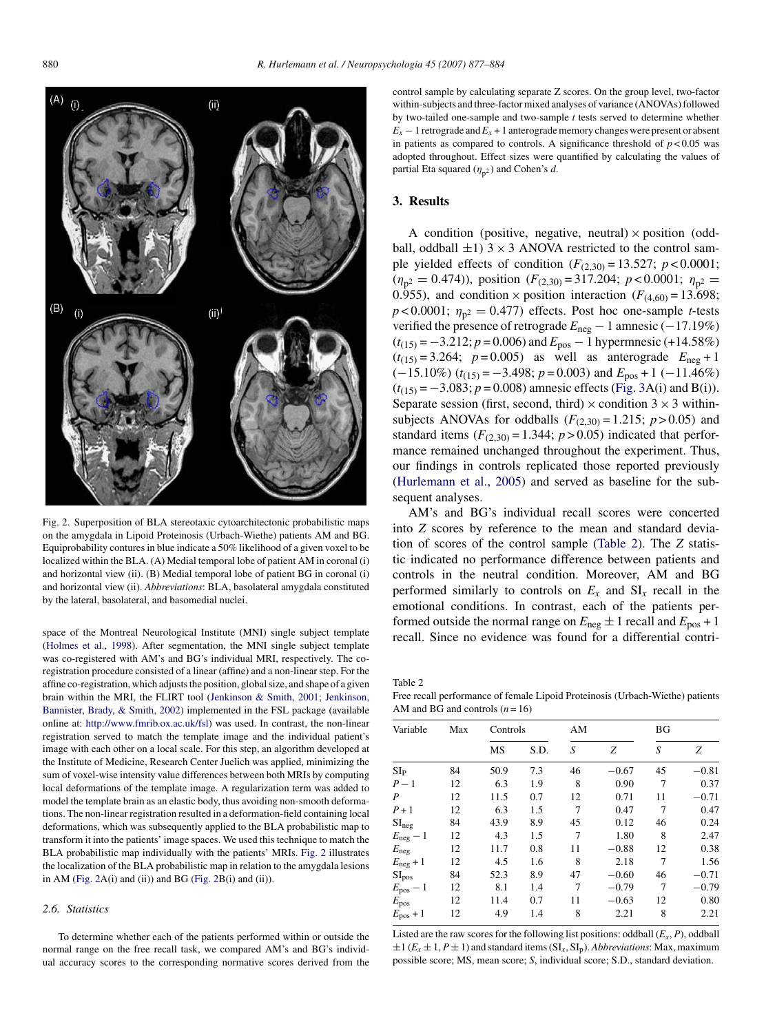<span id="page-3-0"></span>

Fig. 2. Superposition of BLA stereotaxic cytoarchitectonic probabilistic maps on the amygdala in Lipoid Proteinosis (Urbach-Wiethe) patients AM and BG. Equiprobability contures in blue indicate a 50% likelihood of a given voxel to be localized within the BLA. (A) Medial temporal lobe of patient AM in coronal (i) and horizontal view (ii). (B) Medial temporal lobe of patient BG in coronal (i) and horizontal view (ii). *Abbreviations*: BLA, basolateral amygdala constituted by the lateral, basolateral, and basomedial nuclei.

space of the Montreal Neurological Institute (MNI) single subject template [\(Holmes et al., 1998\).](#page-6-0) After segmentation, the MNI single subject template was co-registered with AM's and BG's individual MRI, respectively. The coregistration procedure consisted of a linear (affine) and a non-linear step. For the affine co-registration, which adjusts the position, global size, and shape of a given brain within the MRI, the FLIRT tool ([Jenkinson & Smith, 2001;](#page-6-0) [Jenkinson,](#page-6-0) [Bannister, Brady, & Smith, 2002\) i](#page-6-0)mplemented in the FSL package (available online at: <http://www.fmrib.ox.ac.uk/fsl>) was used. In contrast, the non-linear registration served to match the template image and the individual patient's image with each other on a local scale. For this step, an algorithm developed at the Institute of Medicine, Research Center Juelich was applied, minimizing the sum of voxel-wise intensity value differences between both MRIs by computing local deformations of the template image. A regularization term was added to model the template brain as an elastic body, thus avoiding non-smooth deformations. The non-linear registration resulted in a deformation-field containing local deformations, which was subsequently applied to the BLA probabilistic map to transform it into the patients' image spaces. We used this technique to match the BLA probabilistic map individually with the patients' MRIs. Fig. 2 illustrates the localization of the BLA probabilistic map in relation to the amygdala lesions in AM (Fig.  $2A(i)$  and (ii)) and BG (Fig.  $2B(i)$  and (ii)).

## *2.6. Statistics*

To determine whether each of the patients performed within or outside the normal range on the free recall task, we compared AM's and BG's individual accuracy scores to the corresponding normative scores derived from the

control sample by calculating separate Z scores. On the group level, two-factor within-subjects and three-factor mixed analyses of variance (ANOVAs) followed by two-tailed one-sample and two-sample *t* tests served to determine whether  $E_x - 1$  retrograde and  $E_x + 1$  anterograde memory changes were present or absent in patients as compared to controls. A significance threshold of  $p < 0.05$  was adopted throughout. Effect sizes were quantified by calculating the values of partial Eta squared  $(\eta_{p^2})$  and Cohen's *d*.

### **3. Results**

A condition (positive, negative, neutral)  $\times$  position (oddball, oddball  $\pm 1$ ) 3 × 3 ANOVA restricted to the control sample yielded effects of condition  $(F_{(2,30)} = 13.527; p < 0.0001;$  $(\eta_{p2} = 0.474)$ , position  $(F_{(2,30)} = 317.204; p < 0.0001; \eta_{p2} =$ 0.955), and condition  $\times$  position interaction ( $F_{(4,60)} = 13.698$ ;  $p < 0.0001$ ;  $\eta_{p2} = 0.477$ ) effects. Post hoc one-sample *t*-tests verified the presence of retrograde *E*neg − 1 amnesic (−17.19%) (*t*(15) = −3.212; *p* = 0.006) and *E*pos − 1 hypermnesic (+14.58%)  $(t_{(15)} = 3.264; \ p = 0.005)$  as well as anterograde  $E_{\text{neg}} + 1$  $(-15.10\%)$  ( $t_{(15)} = -3.498$ ;  $p = 0.003$ ) and  $E_{pos} + 1$  (-11.46%)  $(t_{(15)} = -3.083; p = 0.008)$  amnesic effects [\(Fig. 3A](#page-4-0)(i) and B(i)). Separate session (first, second, third)  $\times$  condition 3  $\times$  3 withinsubjects ANOVAs for oddballs  $(F_{(2,30)} = 1.215; p > 0.05)$  and standard items  $(F_{(2,30)} = 1.344; p > 0.05)$  indicated that performance remained unchanged throughout the experiment. Thus, our findings in controls replicated those reported previously [\(Hurlemann et al., 2005\)](#page-6-0) and served as baseline for the subsequent analyses.

AM's and BG's individual recall scores were concerted into *Z* scores by reference to the mean and standard deviation of scores of the control sample (Table 2). The *Z* statistic indicated no performance difference between patients and controls in the neutral condition. Moreover, AM and BG performed similarly to controls on  $E_x$  and  $SI_x$  recall in the emotional conditions. In contrast, each of the patients performed outside the normal range on  $E_{\text{neg}} \pm 1$  recall and  $E_{\text{pos}} + 1$ recall. Since no evidence was found for a differential contri-

Table 2

Free recall performance of female Lipoid Proteinosis (Urbach-Wiethe) patients AM and BG and controls  $(n = 16)$ 

| Variable                   | Max | Controls |      | AM |         | BG |         |
|----------------------------|-----|----------|------|----|---------|----|---------|
|                            |     | MS       | S.D. | S  | Ζ       | S  | Ζ       |
| $SI_{P}$                   | 84  | 50.9     | 7.3  | 46 | $-0.67$ | 45 | $-0.81$ |
| $P-1$                      | 12  | 6.3      | 1.9  | 8  | 0.90    | 7  | 0.37    |
| P                          | 12  | 11.5     | 0.7  | 12 | 0.71    | 11 | $-0.71$ |
| $P+1$                      | 12  | 6.3      | 1.5  | 7  | 0.47    | 7  | 0.47    |
| $\mathrm{SI}_\mathrm{neg}$ | 84  | 43.9     | 8.9  | 45 | 0.12    | 46 | 0.24    |
| $E_{\text{neg}}-1$         | 12  | 4.3      | 1.5  | 7  | 1.80    | 8  | 2.47    |
| $E_{\text{neg}}$           | 12  | 11.7     | 0.8  | 11 | $-0.88$ | 12 | 0.38    |
| $E_{\text{neg}}+1$         | 12  | 4.5      | 1.6  | 8  | 2.18    | 7  | 1.56    |
| SI <sub>pos</sub>          | 84  | 52.3     | 8.9  | 47 | $-0.60$ | 46 | $-0.71$ |
| $E_{\text{pos}}-1$         | 12  | 8.1      | 1.4  | 7  | $-0.79$ | 7  | $-0.79$ |
| $E_{\text{pos}}$           | 12  | 11.4     | 0.7  | 11 | $-0.63$ | 12 | 0.80    |
| $E_{\text{pos}}+1$         | 12  | 4.9      | 1.4  | 8  | 2.21    | 8  | 2.21    |

Listed are the raw scores for the following list positions: oddball  $(E_x, P)$ , oddball  $\pm 1$  ( $E_x \pm 1$ ,  $P \pm 1$ ) and standard items (SI<sub>x</sub>, SI<sub>p</sub>). *Abbreviations*: Max, maximum possible score; MS, mean score; *S*, individual score; S.D., standard deviation.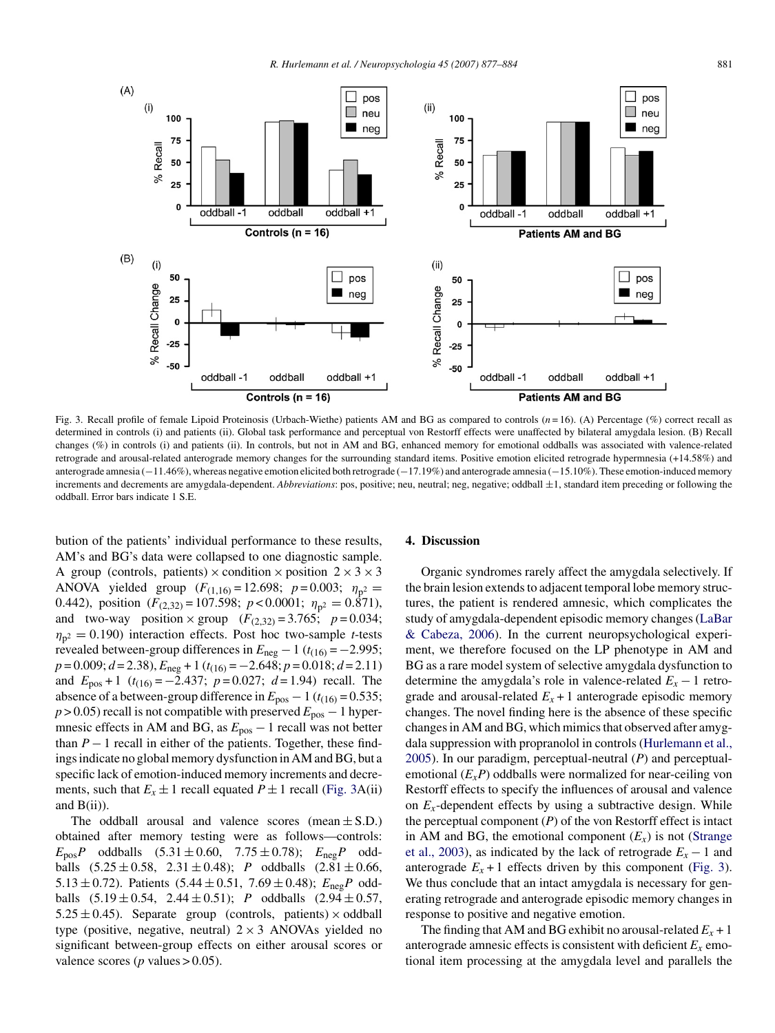<span id="page-4-0"></span>

Fig. 3. Recall profile of female Lipoid Proteinosis (Urbach-Wiethe) patients AM and BG as compared to controls (*n* = 16). (A) Percentage (%) correct recall as determined in controls (i) and patients (ii). Global task performance and perceptual von Restorff effects were unaffected by bilateral amygdala lesion. (B) Recall changes (%) in controls (i) and patients (ii). In controls, but not in AM and BG, enhanced memory for emotional oddballs was associated with valence-related retrograde and arousal-related anterograde memory changes for the surrounding standard items. Positive emotion elicited retrograde hypermnesia (+14.58%) and anterograde amnesia (−11.46%), whereas negative emotion elicited both retrograde (−17.19%) and anterograde amnesia (−15.10%). These emotion-induced memory increments and decrements are amygdala-dependent. *Abbreviations*: pos, positive; neu, neutral; neg, negative; oddball ±1, standard item preceding or following the oddball. Error bars indicate 1 S.E.

bution of the patients' individual performance to these results, AM's and BG's data were collapsed to one diagnostic sample. A group (controls, patients)  $\times$  condition  $\times$  position  $2 \times 3 \times 3$ ANOVA yielded group  $(F_{(1,16)} = 12.698; p = 0.003; \eta_{p^2} =$ 0.442), position  $(F_{(2,32)} = 107.598; p < 0.0001; \eta_{p^2} = 0.871$ and two-way position  $\times$  group  $(F_{(2,32)} = 3.765; p = 0.034;$  $\eta_{p^2} = 0.190$ ) interaction effects. Post hoc two-sample *t*-tests revealed between-group differences in  $E_{\text{neg}} - 1$  ( $t_{(16)} = -2.995$ ; *p* = 0.009; *d* = 2.38), *E*neg +1(*t*(16) = −2.648; *p* = 0.018; *d* = 2.11) and  $E_{pos} + 1$  ( $t_{(16)} = -2.437$ ;  $p = 0.027$ ;  $d = 1.94$ ) recall. The absence of a between-group difference in  $E_{pos}$  – 1 ( $t_{(16)}$  = 0.535; *p* > 0.05) recall is not compatible with preserved  $E_{pos}$  − 1 hypermnesic effects in AM and BG, as *E*pos − 1 recall was not better than  $P-1$  recall in either of the patients. Together, these findings indicate no global memory dysfunction in AM and BG, but a specific lack of emotion-induced memory increments and decrements, such that  $E_x \pm 1$  recall equated  $P \pm 1$  recall (Fig. 3A(ii) and  $B(ii)$ ).

The oddball arousal and valence scores (mean  $\pm$  S.D.) obtained after memory testing were as follows—controls:  $E_{\text{pos}}P$  oddballs  $(5.31 \pm 0.60, 7.75 \pm 0.78); E_{\text{neg}}P$  oddballs  $(5.25 \pm 0.58, 2.31 \pm 0.48)$ ; *P* oddballs  $(2.81 \pm 0.66,$ 5.13  $\pm$  0.72). Patients (5.44  $\pm$  0.51, 7.69  $\pm$  0.48);  $E_{\text{neg}}P$  oddballs  $(5.19 \pm 0.54, 2.44 \pm 0.51)$ ; *P* oddballs  $(2.94 \pm 0.57,$  $5.25 \pm 0.45$ ). Separate group (controls, patients)  $\times$  oddball type (positive, negative, neutral)  $2 \times 3$  ANOVAs yielded no significant between-group effects on either arousal scores or valence scores ( $p$  values  $> 0.05$ ).

# **4. Discussion**

Organic syndromes rarely affect the amygdala selectively. If the brain lesion extends to adjacent temporal lobe memory structures, the patient is rendered amnesic, which complicates the study of amygdala-dependent episodic memory changes ([LaBar](#page-6-0) [& Cabeza, 2006\).](#page-6-0) In the current neuropsychological experiment, we therefore focused on the LP phenotype in AM and BG as a rare model system of selective amygdala dysfunction to determine the amygdala's role in valence-related  $E_x - 1$  retrograde and arousal-related  $E_x + 1$  anterograde episodic memory changes. The novel finding here is the absence of these specific changes in AM and BG, which mimics that observed after amygdala suppression with propranolol in controls ([Hurlemann et al.,](#page-6-0) [2005\).](#page-6-0) In our paradigm, perceptual-neutral (*P*) and perceptualemotional (*ExP*) oddballs were normalized for near-ceiling von Restorff effects to specify the influences of arousal and valence on  $E_x$ -dependent effects by using a subtractive design. While the perceptual component  $(P)$  of the von Restorff effect is intact in AM and BG, the emotional component  $(E_r)$  is not [\(Strange](#page-7-0) [et al., 2003\),](#page-7-0) as indicated by the lack of retrograde  $E_x - 1$  and anterograde  $E_x + 1$  effects driven by this component (Fig. 3). We thus conclude that an intact amygdala is necessary for generating retrograde and anterograde episodic memory changes in response to positive and negative emotion.

The finding that AM and BG exhibit no arousal-related  $E_x + 1$ anterograde amnesic effects is consistent with deficient  $E_x$  emotional item processing at the amygdala level and parallels the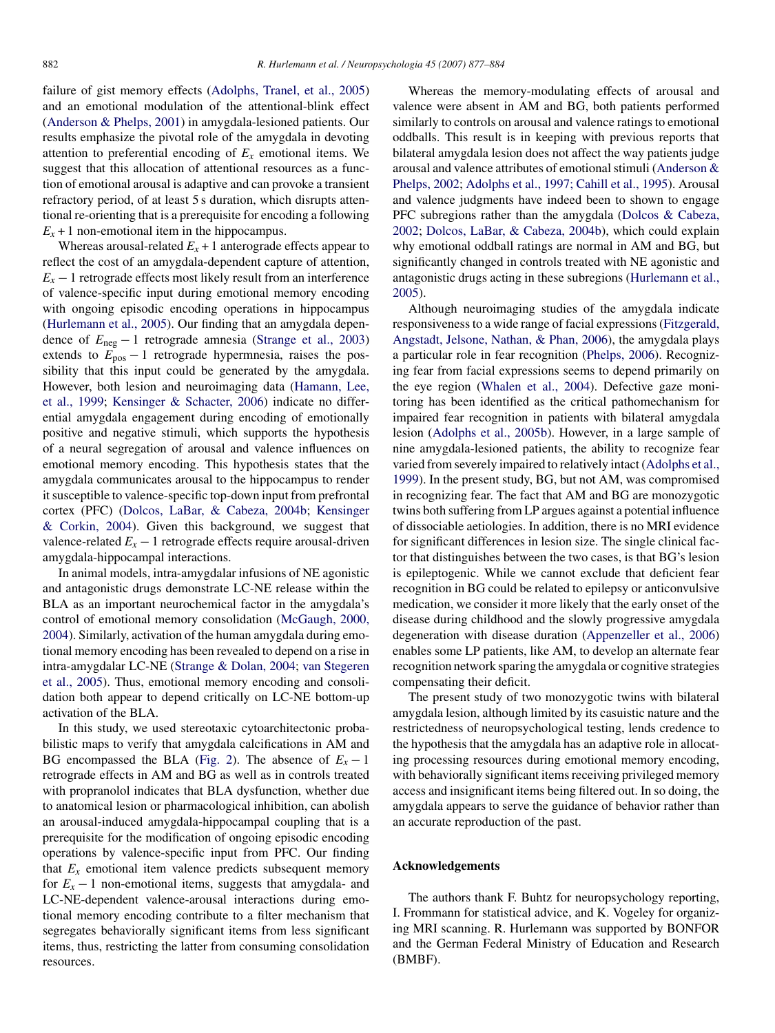failure of gist memory effects [\(Adolphs, Tranel, et al., 2005\)](#page-6-0) and an emotional modulation of the attentional-blink effect [\(Anderson & Phelps, 2001\)](#page-6-0) in amygdala-lesioned patients. Our results emphasize the pivotal role of the amygdala in devoting attention to preferential encoding of  $E<sub>x</sub>$  emotional items. We suggest that this allocation of attentional resources as a function of emotional arousal is adaptive and can provoke a transient refractory period, of at least 5 s duration, which disrupts attentional re-orienting that is a prerequisite for encoding a following  $E_x + 1$  non-emotional item in the hippocampus.

Whereas arousal-related  $E_x + 1$  anterograde effects appear to reflect the cost of an amygdala-dependent capture of attention,  $E_x - 1$  retrograde effects most likely result from an interference of valence-specific input during emotional memory encoding with ongoing episodic encoding operations in hippocampus [\(Hurlemann et al., 2005\).](#page-6-0) Our finding that an amygdala dependence of *E*neg − 1 retrograde amnesia [\(Strange et al., 2003\)](#page-7-0) extends to  $E_{pos} - 1$  retrograde hypermnesia, raises the possibility that this input could be generated by the amygdala. However, both lesion and neuroimaging data [\(Hamann, Lee,](#page-6-0) [et al., 1999;](#page-6-0) [Kensinger & Schacter, 2006\)](#page-6-0) indicate no differential amygdala engagement during encoding of emotionally positive and negative stimuli, which supports the hypothesis of a neural segregation of arousal and valence influences on emotional memory encoding. This hypothesis states that the amygdala communicates arousal to the hippocampus to render it susceptible to valence-specific top-down input from prefrontal cortex (PFC) ([Dolcos, LaBar, & Cabeza, 2004b;](#page-6-0) [Kensinger](#page-6-0) [& Corkin, 2004\).](#page-6-0) Given this background, we suggest that valence-related  $E_x - 1$  retrograde effects require arousal-driven amygdala-hippocampal interactions.

In animal models, intra-amygdalar infusions of NE agonistic and antagonistic drugs demonstrate LC-NE release within the BLA as an important neurochemical factor in the amygdala's control of emotional memory consolidation ([McGaugh, 2000,](#page-6-0) [2004\).](#page-6-0) Similarly, activation of the human amygdala during emotional memory encoding has been revealed to depend on a rise in intra-amygdalar LC-NE [\(Strange & Dolan, 2004;](#page-7-0) [van Stegeren](#page-7-0) [et al., 2005\).](#page-7-0) Thus, emotional memory encoding and consolidation both appear to depend critically on LC-NE bottom-up activation of the BLA.

In this study, we used stereotaxic cytoarchitectonic probabilistic maps to verify that amygdala calcifications in AM and BG encompassed the BLA [\(Fig. 2\).](#page-3-0) The absence of  $E_x - 1$ retrograde effects in AM and BG as well as in controls treated with propranolol indicates that BLA dysfunction, whether due to anatomical lesion or pharmacological inhibition, can abolish an arousal-induced amygdala-hippocampal coupling that is a prerequisite for the modification of ongoing episodic encoding operations by valence-specific input from PFC. Our finding that  $E_x$  emotional item valence predicts subsequent memory for  $E_x - 1$  non-emotional items, suggests that amygdala- and LC-NE-dependent valence-arousal interactions during emotional memory encoding contribute to a filter mechanism that segregates behaviorally significant items from less significant items, thus, restricting the latter from consuming consolidation resources.

Whereas the memory-modulating effects of arousal and valence were absent in AM and BG, both patients performed similarly to controls on arousal and valence ratings to emotional oddballs. This result is in keeping with previous reports that bilateral amygdala lesion does not affect the way patients judge arousal and valence attributes of emotional stimuli [\(Anderson &](#page-6-0) [Phelps, 2002;](#page-6-0) [Adolphs et al., 1997; Cahill et al., 1995\).](#page-6-0) Arousal and valence judgments have indeed been to shown to engage PFC subregions rather than the amygdala [\(Dolcos & Cabeza,](#page-6-0) [2002;](#page-6-0) [Dolcos, LaBar, & Cabeza, 2004b\),](#page-6-0) which could explain why emotional oddball ratings are normal in AM and BG, but significantly changed in controls treated with NE agonistic and antagonistic drugs acting in these subregions [\(Hurlemann et al.,](#page-6-0) [2005\).](#page-6-0)

Although neuroimaging studies of the amygdala indicate responsiveness to a wide range of facial expressions ([Fitzgerald,](#page-6-0) [Angstadt, Jelsone, Nathan, & Phan, 2006\),](#page-6-0) the amygdala plays a particular role in fear recognition ([Phelps, 2006\).](#page-6-0) Recognizing fear from facial expressions seems to depend primarily on the eye region ([Whalen et al., 2004\).](#page-7-0) Defective gaze monitoring has been identified as the critical pathomechanism for impaired fear recognition in patients with bilateral amygdala lesion [\(Adolphs et al., 2005b\).](#page-6-0) However, in a large sample of nine amygdala-lesioned patients, the ability to recognize fear varied from severely impaired to relatively intact [\(Adolphs et al.,](#page-6-0) [1999\).](#page-6-0) In the present study, BG, but not AM, was compromised in recognizing fear. The fact that AM and BG are monozygotic twins both suffering from LP argues against a potential influence of dissociable aetiologies. In addition, there is no MRI evidence for significant differences in lesion size. The single clinical factor that distinguishes between the two cases, is that BG's lesion is epileptogenic. While we cannot exclude that deficient fear recognition in BG could be related to epilepsy or anticonvulsive medication, we consider it more likely that the early onset of the disease during childhood and the slowly progressive amygdala degeneration with disease duration ([Appenzeller et al., 2006\)](#page-6-0) enables some LP patients, like AM, to develop an alternate fear recognition network sparing the amygdala or cognitive strategies compensating their deficit.

The present study of two monozygotic twins with bilateral amygdala lesion, although limited by its casuistic nature and the restrictedness of neuropsychological testing, lends credence to the hypothesis that the amygdala has an adaptive role in allocating processing resources during emotional memory encoding, with behaviorally significant items receiving privileged memory access and insignificant items being filtered out. In so doing, the amygdala appears to serve the guidance of behavior rather than an accurate reproduction of the past.

# **Acknowledgements**

The authors thank F. Buhtz for neuropsychology reporting, I. Frommann for statistical advice, and K. Vogeley for organizing MRI scanning. R. Hurlemann was supported by BONFOR and the German Federal Ministry of Education and Research (BMBF).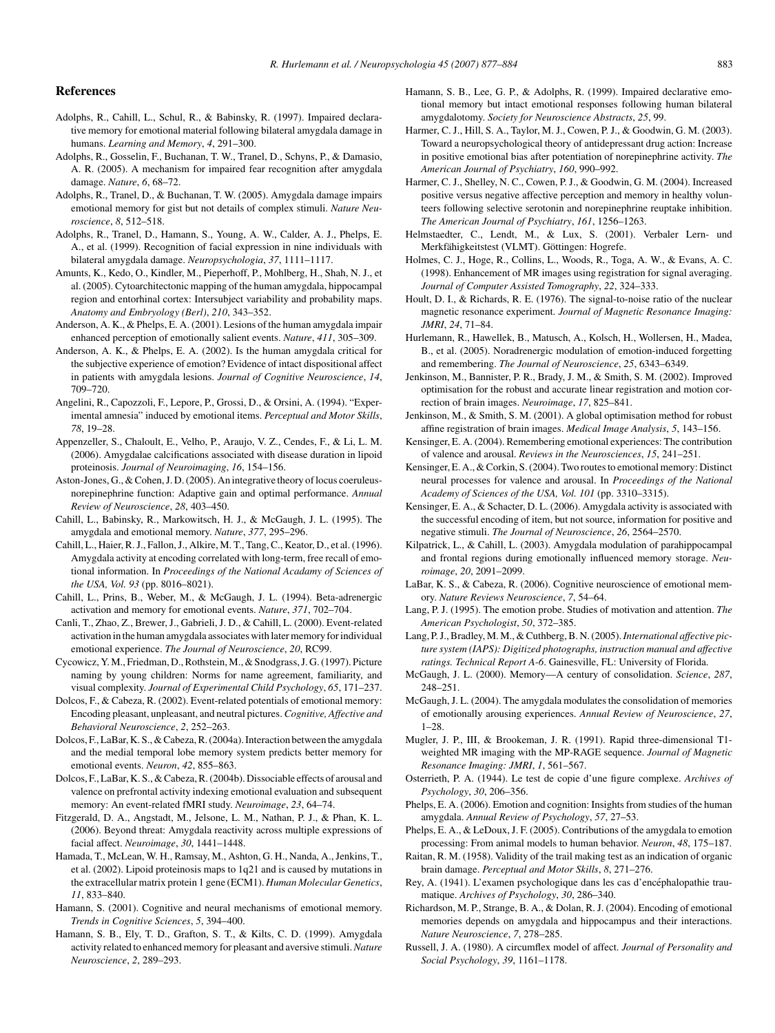# <span id="page-6-0"></span>**References**

- Adolphs, R., Cahill, L., Schul, R., & Babinsky, R. (1997). Impaired declarative memory for emotional material following bilateral amygdala damage in humans. *Learning and Memory*, *4*, 291–300.
- Adolphs, R., Gosselin, F., Buchanan, T. W., Tranel, D., Schyns, P., & Damasio, A. R. (2005). A mechanism for impaired fear recognition after amygdala damage. *Nature*, *6*, 68–72.
- Adolphs, R., Tranel, D., & Buchanan, T. W. (2005). Amygdala damage impairs emotional memory for gist but not details of complex stimuli. *Nature Neuroscience*, *8*, 512–518.
- Adolphs, R., Tranel, D., Hamann, S., Young, A. W., Calder, A. J., Phelps, E. A., et al. (1999). Recognition of facial expression in nine individuals with bilateral amygdala damage. *Neuropsychologia*, *37*, 1111–1117.
- Amunts, K., Kedo, O., Kindler, M., Pieperhoff, P., Mohlberg, H., Shah, N. J., et al. (2005). Cytoarchitectonic mapping of the human amygdala, hippocampal region and entorhinal cortex: Intersubject variability and probability maps. *Anatomy and Embryology (Berl)*, *210*, 343–352.
- Anderson, A. K., & Phelps, E. A. (2001). Lesions of the human amygdala impair enhanced perception of emotionally salient events. *Nature*, *411*, 305–309.
- Anderson, A. K., & Phelps, E. A. (2002). Is the human amygdala critical for the subjective experience of emotion? Evidence of intact dispositional affect in patients with amygdala lesions. *Journal of Cognitive Neuroscience*, *14*, 709–720.
- Angelini, R., Capozzoli, F., Lepore, P., Grossi, D., & Orsini, A. (1994). "Experimental amnesia" induced by emotional items. *Perceptual and Motor Skills*, *78*, 19–28.
- Appenzeller, S., Chaloult, E., Velho, P., Araujo, V. Z., Cendes, F., & Li, L. M. (2006). Amygdalae calcifications associated with disease duration in lipoid proteinosis. *Journal of Neuroimaging*, *16*, 154–156.
- Aston-Jones, G., & Cohen, J. D. (2005). An integrative theory of locus coeruleusnorepinephrine function: Adaptive gain and optimal performance. *Annual Review of Neuroscience*, *28*, 403–450.
- Cahill, L., Babinsky, R., Markowitsch, H. J., & McGaugh, J. L. (1995). The amygdala and emotional memory. *Nature*, *377*, 295–296.
- Cahill, L., Haier, R. J., Fallon, J., Alkire, M. T., Tang, C., Keator, D., et al. (1996). Amygdala activity at encoding correlated with long-term, free recall of emotional information. In *Proceedings of the National Acadamy of Sciences of the USA, Vol. 93* (pp. 8016–8021).
- Cahill, L., Prins, B., Weber, M., & McGaugh, J. L. (1994). Beta-adrenergic activation and memory for emotional events. *Nature*, *371*, 702–704.
- Canli, T., Zhao, Z., Brewer, J., Gabrieli, J. D., & Cahill, L. (2000). Event-related activation in the human amygdala associates with later memory for individual emotional experience. *The Journal of Neuroscience*, *20*, RC99.
- Cycowicz, Y. M., Friedman, D., Rothstein, M., & Snodgrass, J. G. (1997). Picture naming by young children: Norms for name agreement, familiarity, and visual complexity. *Journal of Experimental Child Psychology*, *65*, 171–237.
- Dolcos, F., & Cabeza, R. (2002). Event-related potentials of emotional memory: Encoding pleasant, unpleasant, and neutral pictures. *Cognitive, Affective and Behavioral Neuroscience*, *2*, 252–263.
- Dolcos, F., LaBar, K. S., & Cabeza, R. (2004a). Interaction between the amygdala and the medial temporal lobe memory system predicts better memory for emotional events. *Neuron*, *42*, 855–863.
- Dolcos, F., LaBar, K. S., & Cabeza, R. (2004b). Dissociable effects of arousal and valence on prefrontal activity indexing emotional evaluation and subsequent memory: An event-related fMRI study. *Neuroimage*, *23*, 64–74.
- Fitzgerald, D. A., Angstadt, M., Jelsone, L. M., Nathan, P. J., & Phan, K. L. (2006). Beyond threat: Amygdala reactivity across multiple expressions of facial affect. *Neuroimage*, *30*, 1441–1448.
- Hamada, T., McLean, W. H., Ramsay, M., Ashton, G. H., Nanda, A., Jenkins, T., et al. (2002). Lipoid proteinosis maps to 1q21 and is caused by mutations in the extracellular matrix protein 1 gene (ECM1). *Human Molecular Genetics*, *11*, 833–840.
- Hamann, S. (2001). Cognitive and neural mechanisms of emotional memory. *Trends in Cognitive Sciences*, *5*, 394–400.
- Hamann, S. B., Ely, T. D., Grafton, S. T., & Kilts, C. D. (1999). Amygdala activity related to enhanced memory for pleasant and aversive stimuli.*Nature Neuroscience*, *2*, 289–293.
- Hamann, S. B., Lee, G. P., & Adolphs, R. (1999). Impaired declarative emotional memory but intact emotional responses following human bilateral amygdalotomy. *Society for Neuroscience Abstracts*, *25*, 99.
- Harmer, C. J., Hill, S. A., Taylor, M. J., Cowen, P. J., & Goodwin, G. M. (2003). Toward a neuropsychological theory of antidepressant drug action: Increase in positive emotional bias after potentiation of norepinephrine activity. *The American Journal of Psychiatry*, *160*, 990–992.
- Harmer, C. J., Shelley, N. C., Cowen, P. J., & Goodwin, G. M. (2004). Increased positive versus negative affective perception and memory in healthy volunteers following selective serotonin and norepinephrine reuptake inhibition. *The American Journal of Psychiatry*, *161*, 1256–1263.
- Helmstaedter, C., Lendt, M., & Lux, S. (2001). Verbaler Lern- und Merkfähigkeitstest (VLMT). Göttingen: Hogrefe.
- Holmes, C. J., Hoge, R., Collins, L., Woods, R., Toga, A. W., & Evans, A. C. (1998). Enhancement of MR images using registration for signal averaging. *Journal of Computer Assisted Tomography*, *22*, 324–333.
- Hoult, D. I., & Richards, R. E. (1976). The signal-to-noise ratio of the nuclear magnetic resonance experiment. *Journal of Magnetic Resonance Imaging: JMRI*, *24*, 71–84.
- Hurlemann, R., Hawellek, B., Matusch, A., Kolsch, H., Wollersen, H., Madea, B., et al. (2005). Noradrenergic modulation of emotion-induced forgetting and remembering. *The Journal of Neuroscience*, *25*, 6343–6349.
- Jenkinson, M., Bannister, P. R., Brady, J. M., & Smith, S. M. (2002). Improved optimisation for the robust and accurate linear registration and motion correction of brain images. *Neuroimage*, *17*, 825–841.
- Jenkinson, M., & Smith, S. M. (2001). A global optimisation method for robust affine registration of brain images. *Medical Image Analysis*, *5*, 143–156.
- Kensinger, E. A. (2004). Remembering emotional experiences: The contribution of valence and arousal. *Reviews in the Neurosciences*, *15*, 241–251.
- Kensinger, E. A., & Corkin, S. (2004). Two routes to emotional memory: Distinct neural processes for valence and arousal. In *Proceedings of the National Academy of Sciences of the USA, Vol. 101* (pp. 3310–3315).
- Kensinger, E. A., & Schacter, D. L. (2006). Amygdala activity is associated with the successful encoding of item, but not source, information for positive and negative stimuli. *The Journal of Neuroscience*, *26*, 2564–2570.
- Kilpatrick, L., & Cahill, L. (2003). Amygdala modulation of parahippocampal and frontal regions during emotionally influenced memory storage. *Neuroimage*, *20*, 2091–2099.
- LaBar, K. S., & Cabeza, R. (2006). Cognitive neuroscience of emotional memory. *Nature Reviews Neuroscience*, *7*, 54–64.
- Lang, P. J. (1995). The emotion probe. Studies of motivation and attention. *The American Psychologist*, *50*, 372–385.
- Lang, P. J., Bradley, M. M., & Cuthberg, B. N. (2005).*International affective picture system (IAPS): Digitized photographs, instruction manual and affective ratings. Technical Report A-6*. Gainesville, FL: University of Florida.
- McGaugh, J. L. (2000). Memory—A century of consolidation. *Science*, *287*, 248–251.
- McGaugh, J. L. (2004). The amygdala modulates the consolidation of memories of emotionally arousing experiences. *Annual Review of Neuroscience*, *27*, 1–28.
- Mugler, J. P., III, & Brookeman, J. R. (1991). Rapid three-dimensional T1 weighted MR imaging with the MP-RAGE sequence. *Journal of Magnetic Resonance Imaging: JMRI*, *1*, 561–567.
- Osterrieth, P. A. (1944). Le test de copie d'une figure complexe. *Archives of Psychology*, *30*, 206–356.
- Phelps, E. A. (2006). Emotion and cognition: Insights from studies of the human amygdala. *Annual Review of Psychology*, *57*, 27–53.
- Phelps, E. A., & LeDoux, J. F. (2005). Contributions of the amygdala to emotion processing: From animal models to human behavior. *Neuron*, *48*, 175–187.
- Raitan, R. M. (1958). Validity of the trail making test as an indication of organic brain damage. *Perceptual and Motor Skills*, *8*, 271–276.
- Rey, A. (1941). L'examen psychologique dans les cas d'encéphalopathie traumatique. *Archives of Psychology*, *30*, 286–340.
- Richardson, M. P., Strange, B. A., & Dolan, R. J. (2004). Encoding of emotional memories depends on amygdala and hippocampus and their interactions. *Nature Neuroscience*, *7*, 278–285.
- Russell, J. A. (1980). A circumflex model of affect. *Journal of Personality and Social Psychology*, *39*, 1161–1178.